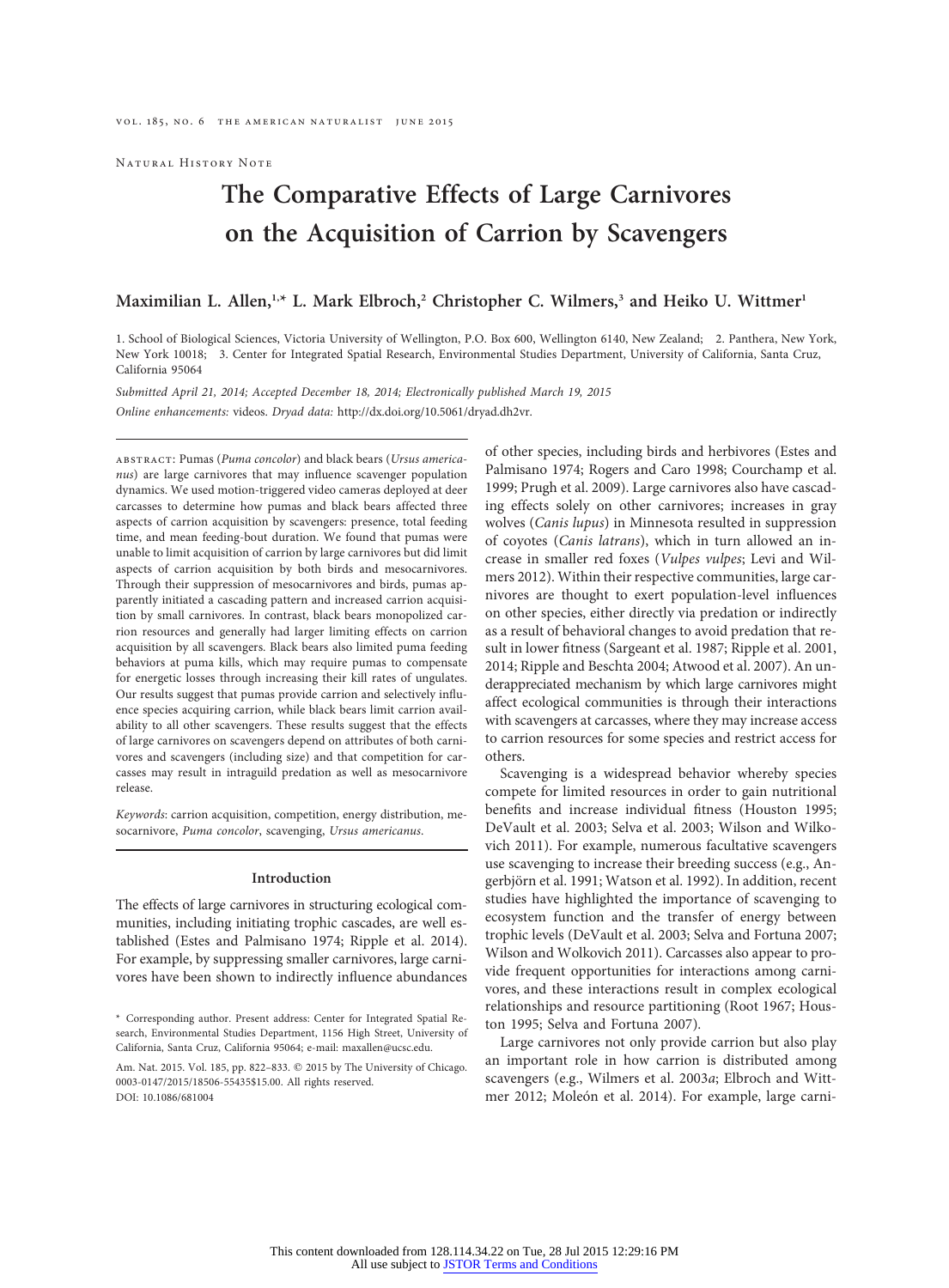Natural History Note

# The Comparative Effects of Large Carnivores on the Acquisition of Carrion by Scavengers

## Maximilian L. Allen,<sup>1,\*</sup> L. Mark Elbroch,<sup>2</sup> Christopher C. Wilmers,<sup>3</sup> and Heiko U. Wittmer<sup>1</sup>

1. School of Biological Sciences, Victoria University of Wellington, P.O. Box 600, Wellington 6140, New Zealand; 2. Panthera, New York, New York 10018; 3. Center for Integrated Spatial Research, Environmental Studies Department, University of California, Santa Cruz, California 95064

Submitted April 21, 2014; Accepted December 18, 2014; Electronically published March 19, 2015 Online enhancements: videos. Dryad data: http://dx.doi.org/10.5061/dryad.dh2vr.

abstract: Pumas (Puma concolor) and black bears (Ursus americanus) are large carnivores that may influence scavenger population dynamics. We used motion-triggered video cameras deployed at deer carcasses to determine how pumas and black bears affected three aspects of carrion acquisition by scavengers: presence, total feeding time, and mean feeding-bout duration. We found that pumas were unable to limit acquisition of carrion by large carnivores but did limit aspects of carrion acquisition by both birds and mesocarnivores. Through their suppression of mesocarnivores and birds, pumas apparently initiated a cascading pattern and increased carrion acquisition by small carnivores. In contrast, black bears monopolized carrion resources and generally had larger limiting effects on carrion acquisition by all scavengers. Black bears also limited puma feeding behaviors at puma kills, which may require pumas to compensate for energetic losses through increasing their kill rates of ungulates. Our results suggest that pumas provide carrion and selectively influence species acquiring carrion, while black bears limit carrion availability to all other scavengers. These results suggest that the effects of large carnivores on scavengers depend on attributes of both carnivores and scavengers (including size) and that competition for carcasses may result in intraguild predation as well as mesocarnivore release.

Keywords: carrion acquisition, competition, energy distribution, mesocarnivore, Puma concolor, scavenging, Ursus americanus.

#### Introduction

The effects of large carnivores in structuring ecological communities, including initiating trophic cascades, are well established (Estes and Palmisano 1974; Ripple et al. 2014). For example, by suppressing smaller carnivores, large carnivores have been shown to indirectly influence abundances of other species, including birds and herbivores (Estes and Palmisano 1974; Rogers and Caro 1998; Courchamp et al. 1999; Prugh et al. 2009). Large carnivores also have cascading effects solely on other carnivores; increases in gray wolves (Canis lupus) in Minnesota resulted in suppression of coyotes (Canis latrans), which in turn allowed an increase in smaller red foxes (Vulpes vulpes; Levi and Wilmers 2012). Within their respective communities, large carnivores are thought to exert population-level influences on other species, either directly via predation or indirectly as a result of behavioral changes to avoid predation that result in lower fitness (Sargeant et al. 1987; Ripple et al. 2001, 2014; Ripple and Beschta 2004; Atwood et al. 2007). An underappreciated mechanism by which large carnivores might affect ecological communities is through their interactions with scavengers at carcasses, where they may increase access to carrion resources for some species and restrict access for others.

Scavenging is a widespread behavior whereby species compete for limited resources in order to gain nutritional benefits and increase individual fitness (Houston 1995; DeVault et al. 2003; Selva et al. 2003; Wilson and Wilkovich 2011). For example, numerous facultative scavengers use scavenging to increase their breeding success (e.g., Angerbjörn et al. 1991; Watson et al. 1992). In addition, recent studies have highlighted the importance of scavenging to ecosystem function and the transfer of energy between trophic levels (DeVault et al. 2003; Selva and Fortuna 2007; Wilson and Wolkovich 2011). Carcasses also appear to provide frequent opportunities for interactions among carnivores, and these interactions result in complex ecological relationships and resource partitioning (Root 1967; Houston 1995; Selva and Fortuna 2007).

Large carnivores not only provide carrion but also play an important role in how carrion is distributed among scavengers (e.g., Wilmers et al. 2003a; Elbroch and Wittmer 2012; Moleón et al. 2014). For example, large carni-

<sup>\*</sup> Corresponding author. Present address: Center for Integrated Spatial Research, Environmental Studies Department, 1156 High Street, University of California, Santa Cruz, California 95064; e-mail: maxallen@ucsc.edu.

Am. Nat. 2015. Vol. 185, pp. 822-833. @ 2015 by The University of Chicago. 0003-0147/2015/18506-55435\$15.00. All rights reserved. DOI: 10.1086/681004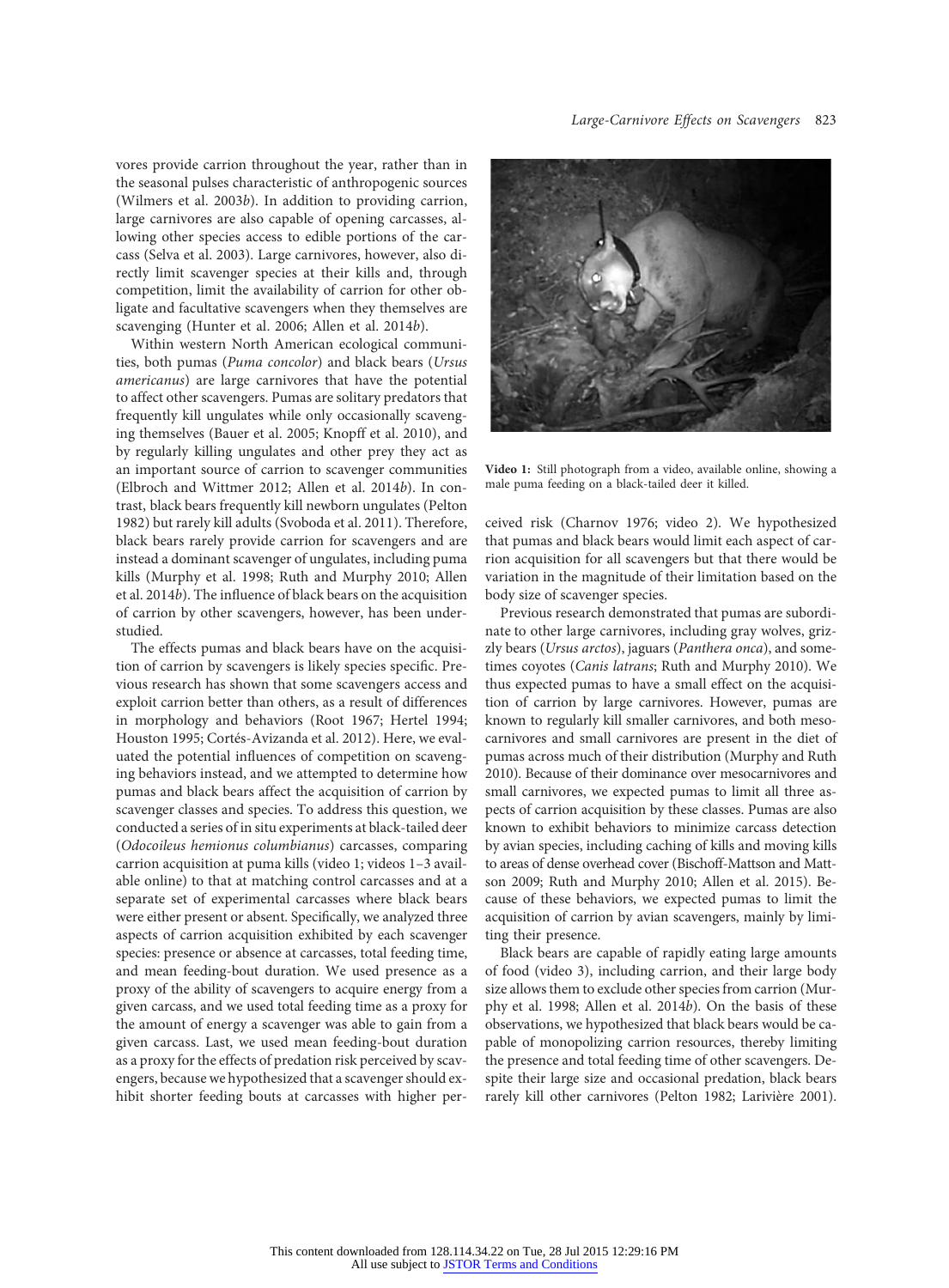vores provide carrion throughout the year, rather than in the seasonal pulses characteristic of anthropogenic sources (Wilmers et al. 2003b). In addition to providing carrion, large carnivores are also capable of opening carcasses, allowing other species access to edible portions of the carcass (Selva et al. 2003). Large carnivores, however, also directly limit scavenger species at their kills and, through competition, limit the availability of carrion for other obligate and facultative scavengers when they themselves are scavenging (Hunter et al. 2006; Allen et al. 2014b).

Within western North American ecological communities, both pumas (Puma concolor) and black bears (Ursus americanus) are large carnivores that have the potential to affect other scavengers. Pumas are solitary predators that frequently kill ungulates while only occasionally scavenging themselves (Bauer et al. 2005; Knopff et al. 2010), and by regularly killing ungulates and other prey they act as an important source of carrion to scavenger communities (Elbroch and Wittmer 2012; Allen et al. 2014b). In contrast, black bears frequently kill newborn ungulates (Pelton 1982) but rarely kill adults (Svoboda et al. 2011). Therefore, black bears rarely provide carrion for scavengers and are instead a dominant scavenger of ungulates, including puma kills (Murphy et al. 1998; Ruth and Murphy 2010; Allen et al. 2014b). The influence of black bears on the acquisition of carrion by other scavengers, however, has been understudied.

The effects pumas and black bears have on the acquisition of carrion by scavengers is likely species specific. Previous research has shown that some scavengers access and exploit carrion better than others, as a result of differences in morphology and behaviors (Root 1967; Hertel 1994; Houston 1995; Cortés-Avizanda et al. 2012). Here, we evaluated the potential influences of competition on scavenging behaviors instead, and we attempted to determine how pumas and black bears affect the acquisition of carrion by scavenger classes and species. To address this question, we conducted a series of in situ experiments at black-tailed deer (Odocoileus hemionus columbianus) carcasses, comparing carrion acquisition at puma kills (video 1; videos 1–3 available online) to that at matching control carcasses and at a separate set of experimental carcasses where black bears were either present or absent. Specifically, we analyzed three aspects of carrion acquisition exhibited by each scavenger species: presence or absence at carcasses, total feeding time, and mean feeding-bout duration. We used presence as a proxy of the ability of scavengers to acquire energy from a given carcass, and we used total feeding time as a proxy for the amount of energy a scavenger was able to gain from a given carcass. Last, we used mean feeding-bout duration as a proxy for the effects of predation risk perceived by scavengers, because we hypothesized that a scavenger should exhibit shorter feeding bouts at carcasses with higher per-



Video 1: Still photograph from a video, available online, showing a male puma feeding on a black-tailed deer it killed.

ceived risk (Charnov 1976; video 2). We hypothesized that pumas and black bears would limit each aspect of carrion acquisition for all scavengers but that there would be variation in the magnitude of their limitation based on the body size of scavenger species.

Previous research demonstrated that pumas are subordinate to other large carnivores, including gray wolves, grizzly bears (Ursus arctos), jaguars (Panthera onca), and sometimes coyotes (Canis latrans; Ruth and Murphy 2010). We thus expected pumas to have a small effect on the acquisition of carrion by large carnivores. However, pumas are known to regularly kill smaller carnivores, and both mesocarnivores and small carnivores are present in the diet of pumas across much of their distribution (Murphy and Ruth 2010). Because of their dominance over mesocarnivores and small carnivores, we expected pumas to limit all three aspects of carrion acquisition by these classes. Pumas are also known to exhibit behaviors to minimize carcass detection by avian species, including caching of kills and moving kills to areas of dense overhead cover (Bischoff-Mattson and Mattson 2009; Ruth and Murphy 2010; Allen et al. 2015). Because of these behaviors, we expected pumas to limit the acquisition of carrion by avian scavengers, mainly by limiting their presence.

Black bears are capable of rapidly eating large amounts of food (video 3), including carrion, and their large body size allows them to exclude other species from carrion (Murphy et al. 1998; Allen et al. 2014b). On the basis of these observations, we hypothesized that black bears would be capable of monopolizing carrion resources, thereby limiting the presence and total feeding time of other scavengers. Despite their large size and occasional predation, black bears rarely kill other carnivores (Pelton 1982; Larivière 2001).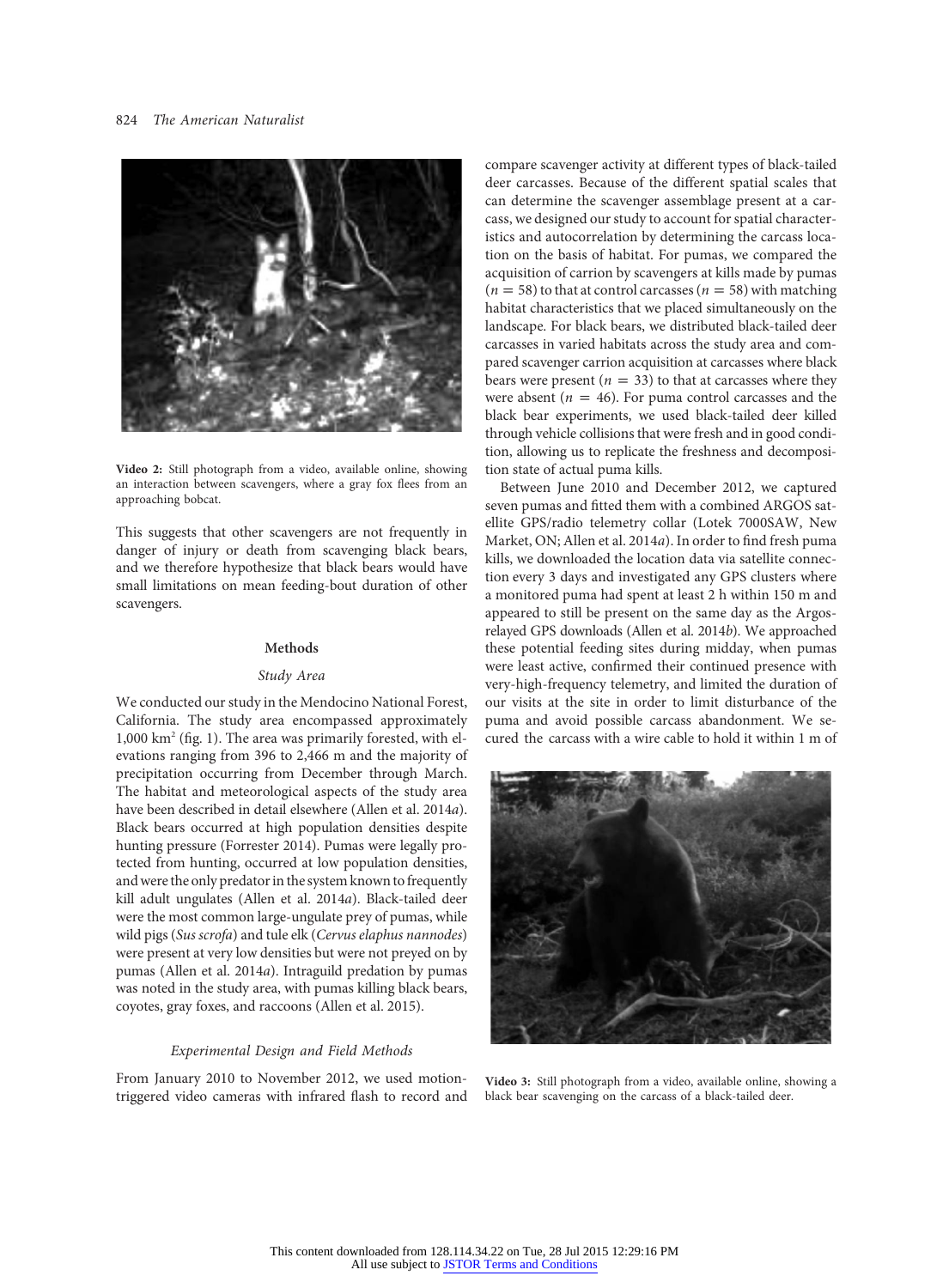## 824 The American Naturalist



Video 2: Still photograph from a video, available online, showing an interaction between scavengers, where a gray fox flees from an approaching bobcat.

This suggests that other scavengers are not frequently in danger of injury or death from scavenging black bears, and we therefore hypothesize that black bears would have small limitations on mean feeding-bout duration of other scavengers.

## Methods

### Study Area

We conducted our study in the Mendocino National Forest, California. The study area encompassed approximately 1,000 km2 (fig. 1). The area was primarily forested, with elevations ranging from 396 to 2,466 m and the majority of precipitation occurring from December through March. The habitat and meteorological aspects of the study area have been described in detail elsewhere (Allen et al. 2014a). Black bears occurred at high population densities despite hunting pressure (Forrester 2014). Pumas were legally protected from hunting, occurred at low population densities, and were the only predator in the system known to frequently kill adult ungulates (Allen et al. 2014a). Black-tailed deer were the most common large-ungulate prey of pumas, while wild pigs (Sus scrofa) and tule elk (Cervus elaphus nannodes) were present at very low densities but were not preyed on by pumas (Allen et al. 2014a). Intraguild predation by pumas was noted in the study area, with pumas killing black bears, coyotes, gray foxes, and raccoons (Allen et al. 2015).

#### Experimental Design and Field Methods

From January 2010 to November 2012, we used motiontriggered video cameras with infrared flash to record and compare scavenger activity at different types of black-tailed deer carcasses. Because of the different spatial scales that can determine the scavenger assemblage present at a carcass, we designed our study to account for spatial characteristics and autocorrelation by determining the carcass location on the basis of habitat. For pumas, we compared the acquisition of carrion by scavengers at kills made by pumas  $(n=58)$  to that at control carcasses  $(n=58)$  with matching habitat characteristics that we placed simultaneously on the landscape. For black bears, we distributed black-tailed deer carcasses in varied habitats across the study area and compared scavenger carrion acquisition at carcasses where black bears were present ( $n = 33$ ) to that at carcasses where they were absent ( $n = 46$ ). For puma control carcasses and the black bear experiments, we used black-tailed deer killed through vehicle collisions that were fresh and in good condition, allowing us to replicate the freshness and decomposition state of actual puma kills.

Between June 2010 and December 2012, we captured seven pumas and fitted them with a combined ARGOS satellite GPS/radio telemetry collar (Lotek 7000SAW, New Market, ON; Allen et al. 2014a). In order to find fresh puma kills, we downloaded the location data via satellite connection every 3 days and investigated any GPS clusters where a monitored puma had spent at least 2 h within 150 m and appeared to still be present on the same day as the Argosrelayed GPS downloads (Allen et al. 2014b). We approached these potential feeding sites during midday, when pumas were least active, confirmed their continued presence with very-high-frequency telemetry, and limited the duration of our visits at the site in order to limit disturbance of the puma and avoid possible carcass abandonment. We secured the carcass with a wire cable to hold it within 1 m of



Video 3: Still photograph from a video, available online, showing a black bear scavenging on the carcass of a black-tailed deer.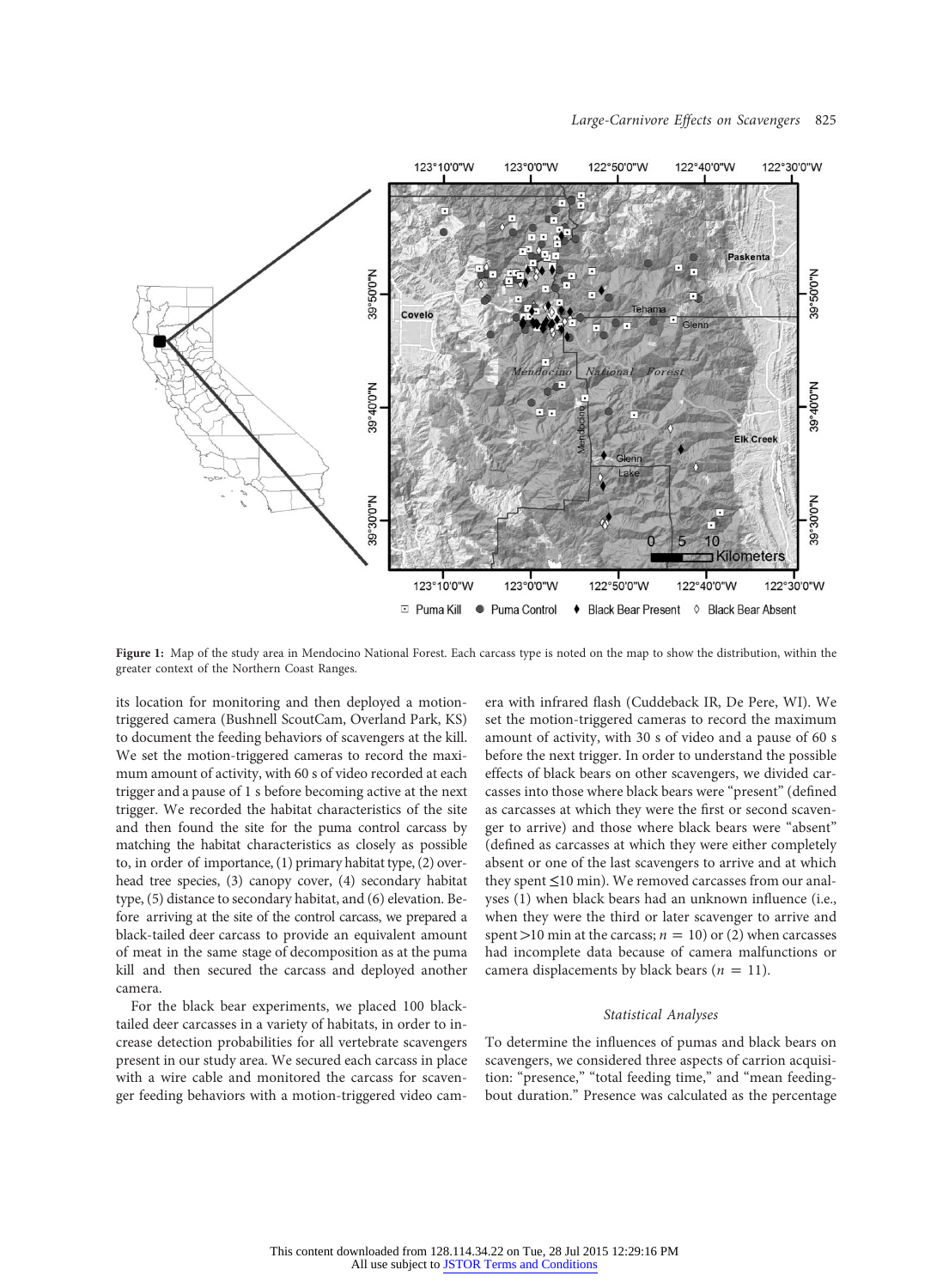

Figure 1: Map of the study area in Mendocino National Forest. Each carcass type is noted on the map to show the distribution, within the greater context of the Northern Coast Ranges.

its location for monitoring and then deployed a motiontriggered camera (Bushnell ScoutCam, Overland Park, KS) to document the feeding behaviors of scavengers at the kill. We set the motion-triggered cameras to record the maximum amount of activity, with 60 s of video recorded at each trigger and a pause of 1 s before becoming active at the next trigger. We recorded the habitat characteristics of the site and then found the site for the puma control carcass by matching the habitat characteristics as closely as possible to, in order of importance, (1) primary habitat type, (2) overhead tree species, (3) canopy cover, (4) secondary habitat type, (5) distance to secondary habitat, and (6) elevation. Before arriving at the site of the control carcass, we prepared a black-tailed deer carcass to provide an equivalent amount of meat in the same stage of decomposition as at the puma kill and then secured the carcass and deployed another camera.

For the black bear experiments, we placed 100 blacktailed deer carcasses in a variety of habitats, in order to increase detection probabilities for all vertebrate scavengers present in our study area. We secured each carcass in place with a wire cable and monitored the carcass for scavenger feeding behaviors with a motion-triggered video camera with infrared flash (Cuddeback IR, De Pere, WI). We set the motion-triggered cameras to record the maximum amount of activity, with 30 s of video and a pause of 60 s before the next trigger. In order to understand the possible effects of black bears on other scavengers, we divided carcasses into those where black bears were "present" (defined as carcasses at which they were the first or second scavenger to arrive) and those where black bears were "absent" (defined as carcasses at which they were either completely absent or one of the last scavengers to arrive and at which they spent ≤10 min). We removed carcasses from our analyses (1) when black bears had an unknown influence (i.e., when they were the third or later scavenger to arrive and spent >10 min at the carcass;  $n = 10$ ) or (2) when carcasses had incomplete data because of camera malfunctions or camera displacements by black bears ( $n = 11$ ).

#### Statistical Analyses

To determine the influences of pumas and black bears on scavengers, we considered three aspects of carrion acquisition: "presence," "total feeding time," and "mean feedingbout duration." Presence was calculated as the percentage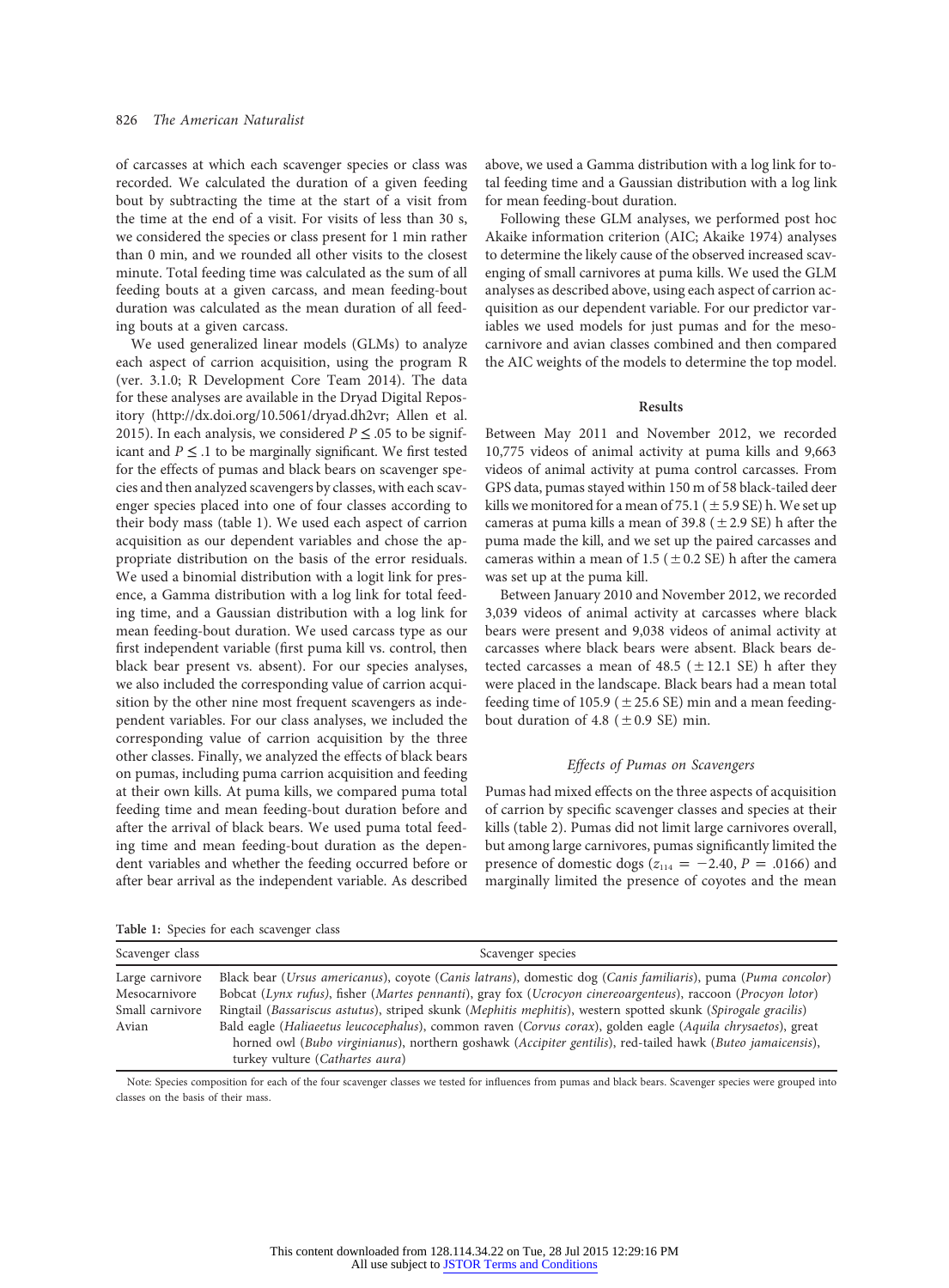of carcasses at which each scavenger species or class was recorded. We calculated the duration of a given feeding bout by subtracting the time at the start of a visit from the time at the end of a visit. For visits of less than 30 s, we considered the species or class present for 1 min rather than 0 min, and we rounded all other visits to the closest minute. Total feeding time was calculated as the sum of all feeding bouts at a given carcass, and mean feeding-bout duration was calculated as the mean duration of all feeding bouts at a given carcass.

We used generalized linear models (GLMs) to analyze each aspect of carrion acquisition, using the program R (ver. 3.1.0; R Development Core Team 2014). The data for these analyses are available in the Dryad Digital Repository (http://dx.doi.org/10.5061/dryad.dh2vr; Allen et al. 2015). In each analysis, we considered  $P \leq .05$  to be significant and  $P \leq 0.1$  to be marginally significant. We first tested for the effects of pumas and black bears on scavenger species and then analyzed scavengers by classes, with each scavenger species placed into one of four classes according to their body mass (table 1). We used each aspect of carrion acquisition as our dependent variables and chose the appropriate distribution on the basis of the error residuals. We used a binomial distribution with a logit link for presence, a Gamma distribution with a log link for total feeding time, and a Gaussian distribution with a log link for mean feeding-bout duration. We used carcass type as our first independent variable (first puma kill vs. control, then black bear present vs. absent). For our species analyses, we also included the corresponding value of carrion acquisition by the other nine most frequent scavengers as independent variables. For our class analyses, we included the corresponding value of carrion acquisition by the three other classes. Finally, we analyzed the effects of black bears on pumas, including puma carrion acquisition and feeding at their own kills. At puma kills, we compared puma total feeding time and mean feeding-bout duration before and after the arrival of black bears. We used puma total feeding time and mean feeding-bout duration as the dependent variables and whether the feeding occurred before or after bear arrival as the independent variable. As described above, we used a Gamma distribution with a log link for total feeding time and a Gaussian distribution with a log link for mean feeding-bout duration.

Following these GLM analyses, we performed post hoc Akaike information criterion (AIC; Akaike 1974) analyses to determine the likely cause of the observed increased scavenging of small carnivores at puma kills. We used the GLM analyses as described above, using each aspect of carrion acquisition as our dependent variable. For our predictor variables we used models for just pumas and for the mesocarnivore and avian classes combined and then compared the AIC weights of the models to determine the top model.

#### Results

Between May 2011 and November 2012, we recorded 10,775 videos of animal activity at puma kills and 9,663 videos of animal activity at puma control carcasses. From GPS data, pumas stayed within 150 m of 58 black-tailed deer kills we monitored for a mean of 75.1 ( $\pm$  5.9 SE) h. We set up cameras at puma kills a mean of 39.8 ( $\pm$  2.9 SE) h after the puma made the kill, and we set up the paired carcasses and cameras within a mean of 1.5 ( $\pm$  0.2 SE) h after the camera was set up at the puma kill.

Between January 2010 and November 2012, we recorded 3,039 videos of animal activity at carcasses where black bears were present and 9,038 videos of animal activity at carcasses where black bears were absent. Black bears detected carcasses a mean of 48.5 ( $\pm$ 12.1 SE) h after they were placed in the landscape. Black bears had a mean total feeding time of 105.9 ( $\pm$ 25.6 SE) min and a mean feedingbout duration of 4.8 ( $\pm$ 0.9 SE) min.

#### Effects of Pumas on Scavengers

Pumas had mixed effects on the three aspects of acquisition of carrion by specific scavenger classes and species at their kills (table 2). Pumas did not limit large carnivores overall, but among large carnivores, pumas significantly limited the presence of domestic dogs ( $z_{114} = -2.40$ ,  $P = .0166$ ) and marginally limited the presence of coyotes and the mean

| Scavenger class                                              | Scavenger species                                                                                                                                                                                                                                                                                                                                                                                                                                                                                                                                                                                             |
|--------------------------------------------------------------|---------------------------------------------------------------------------------------------------------------------------------------------------------------------------------------------------------------------------------------------------------------------------------------------------------------------------------------------------------------------------------------------------------------------------------------------------------------------------------------------------------------------------------------------------------------------------------------------------------------|
| Large carnivore<br>Mesocarnivore<br>Small carnivore<br>Avian | Black bear (Ursus americanus), coyote (Canis latrans), domestic dog (Canis familiaris), puma (Puma concolor)<br>Bobcat (Lynx rufus), fisher (Martes pennanti), gray fox (Ucrocyon cinereoargenteus), raccoon (Procyon lotor)<br>Ringtail (Bassariscus astutus), striped skunk (Mephitis mephitis), western spotted skunk (Spirogale gracilis)<br>Bald eagle (Haliaeetus leucocephalus), common raven (Corvus corax), golden eagle (Aquila chrysaetos), great<br>horned owl (Bubo virginianus), northern goshawk (Accipiter gentilis), red-tailed hawk (Buteo jamaicensis),<br>turkey vulture (Cathartes aura) |

Table 1: Species for each scavenger class

Note: Species composition for each of the four scavenger classes we tested for influences from pumas and black bears. Scavenger species were grouped into classes on the basis of their mass.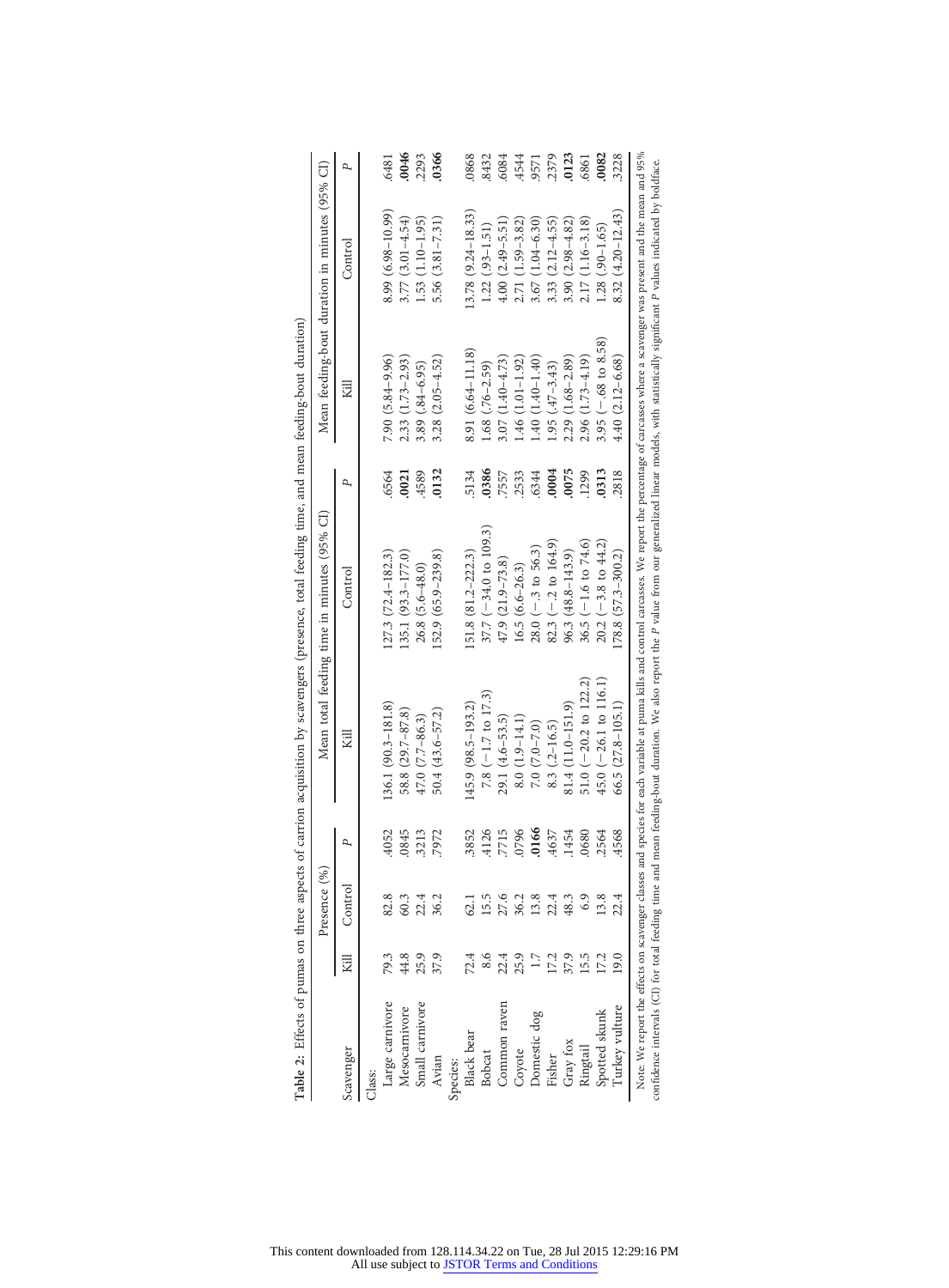|                   |      | Presence (%) |       |                               | Mean total feeding time in minutes (95% CI) |       |                      | Mean feeding-bout duration in minutes (95% CI) |       |
|-------------------|------|--------------|-------|-------------------------------|---------------------------------------------|-------|----------------------|------------------------------------------------|-------|
| Scavenger         | 浢    | Control      | Р,    | Κill                          | Control                                     | P,    | Kill                 | Control                                        | P     |
| Class:            |      |              |       |                               |                                             |       |                      |                                                |       |
| Large carnivore   | 79.3 | 82.8         | .4052 | 136.1 (90.3-181.8)            | $127.3(72.4 - 182.3)$                       | .6564 | $7.90(5.84 - 9.96)$  | 8.99 (6.98-10.99)                              | .6481 |
| Mesocarnivore     | 44.8 | 60.3         | .0845 | 58.8 (29.7-87.8)              | $135.1(93.3 - 177.0)$                       | .0021 | $2.33(1.73 - 2.93)$  | $3.77(3.01 - 4.54)$                            | 0046  |
| Small carnivore   | 25.9 | 22.4         | 3213  | $47.0 (7.7 - 86.3)$           | 26.8 (5.6-48.0)                             | 4589  | $3.89(0.84 - 6.95)$  | 1.53 (1.10-1.95)                               | 2293  |
| Avian             | 37.9 | 36.2         | 7972  | $50.4(43.6 - 57.2)$           | 152.9 (65.9–239.8)                          | 0132  | $3.28(2.05 - 4.52)$  | $5.56(3.81 - 7.31)$                            | .0366 |
| Species:          |      |              |       |                               |                                             |       |                      |                                                |       |
| <b>Black</b> bear | 72.4 | 62.1         | 3852  | 145.9 (98.5–193.2)            | $151.8(81.2 - 222.3)$                       | 5134  | 8.91 (6.64–11.18)    | $13.78(9.24 - 18.33)$                          | 0868  |
| Bobcat            | 8.6  | 15.5         | 4126  | 7.8 $(-1.7 \text{ to } 17.3)$ | $37.7 (-34.0 to 109.3)$                     | 0386  | $1.68(.76-2.59)$     | $1.22(0.93 - 1.51)$                            | 8432  |
| Common raven      | 22.4 | 27.6         | 7715  | $29.1 (4.6 - 53.5)$           | $47.9(21.9 - 73.8)$                         | 7557  | $3.07(1.40 - 4.73)$  | $4.00(2.49 - 5.51)$                            | 6084  |
| Coyote            | 25.9 | 36.2         | 0796  | $8.0(1.9-14.1)$               | $16.5(6.6-26.3)$                            | .2533 | $1.46(1.01-1.92)$    | $2.71(1.59-3.82)$                              | 4544  |
| Domestic dog      | 1.7  | 13.8         | .0166 | $7.0(7.0 - 7.0)$              | $28.0 (-3 to 56.3)$                         | 6344  | $1.40(1.40-1.40)$    | $3.67(1.04 - 6.30)$                            | .9571 |
| Fisher            | 17.2 | 22.4         | 4637  | $8.3(2 - 16.5)$               | $82.3 (-2t) 164.9$                          | 0004  | $1.95(47-3.43)$      | $3.33(2.12 - 4.55)$                            | .2379 |
| Gray fox          | 37.9 | 48.3         | .1454 | $81.4(11.0-151.9)$            | 96.3 (48.8-143.9)                           | 0075  | $2.29(1.68 - 2.89)$  | $3.90(2.98 - 4.82)$                            | 0123  |
| Ringtail          | 15.5 | 6.9          | .0680 | 51.0 ( $-20.2$ to 122.2)      | 36.5 $(-1.6 \text{ to } 74.6)$              | 1299  | $2.96(1.73 - 4.19)$  | $2.17(1.16 - 3.18)$                            | .6861 |
| Spotted skunk     | 17.2 | 13.8         | .2564 | $45.0$ (-26.1 to 116.1)       | $20.2 (-3.8 to 44.2)$                       | 0313  | $3.95 (-68 to 8.58)$ | $1.28(.90-1.65)$                               | 0082  |
| Turkey vulture    | 19.0 | 22.4         | .4568 | $66.5(27.8 - 105.1)$          | $178.8(57.3 - 300.2)$                       | 2818  | $4.40(2.12 - 6.68)$  | $8.32(4.20 - 12.43)$                           | 3228  |

| i                    |           |
|----------------------|-----------|
|                      |           |
|                      |           |
|                      |           |
|                      |           |
|                      |           |
|                      |           |
|                      |           |
|                      | ׅ֚֡֡֡֬֝   |
|                      |           |
|                      |           |
|                      |           |
|                      |           |
|                      |           |
| j                    |           |
|                      |           |
|                      |           |
| י<br>י               |           |
|                      |           |
|                      |           |
| i                    |           |
|                      |           |
| ļ                    | ׅׅ֡֡֡֡֡֝֬ |
|                      |           |
|                      |           |
|                      |           |
| $\ddot{\phantom{a}}$ |           |
|                      |           |
|                      |           |
| ξ<br>ļ               |           |
|                      |           |
| rable 2: $F^{\mu}$   |           |
| F                    |           |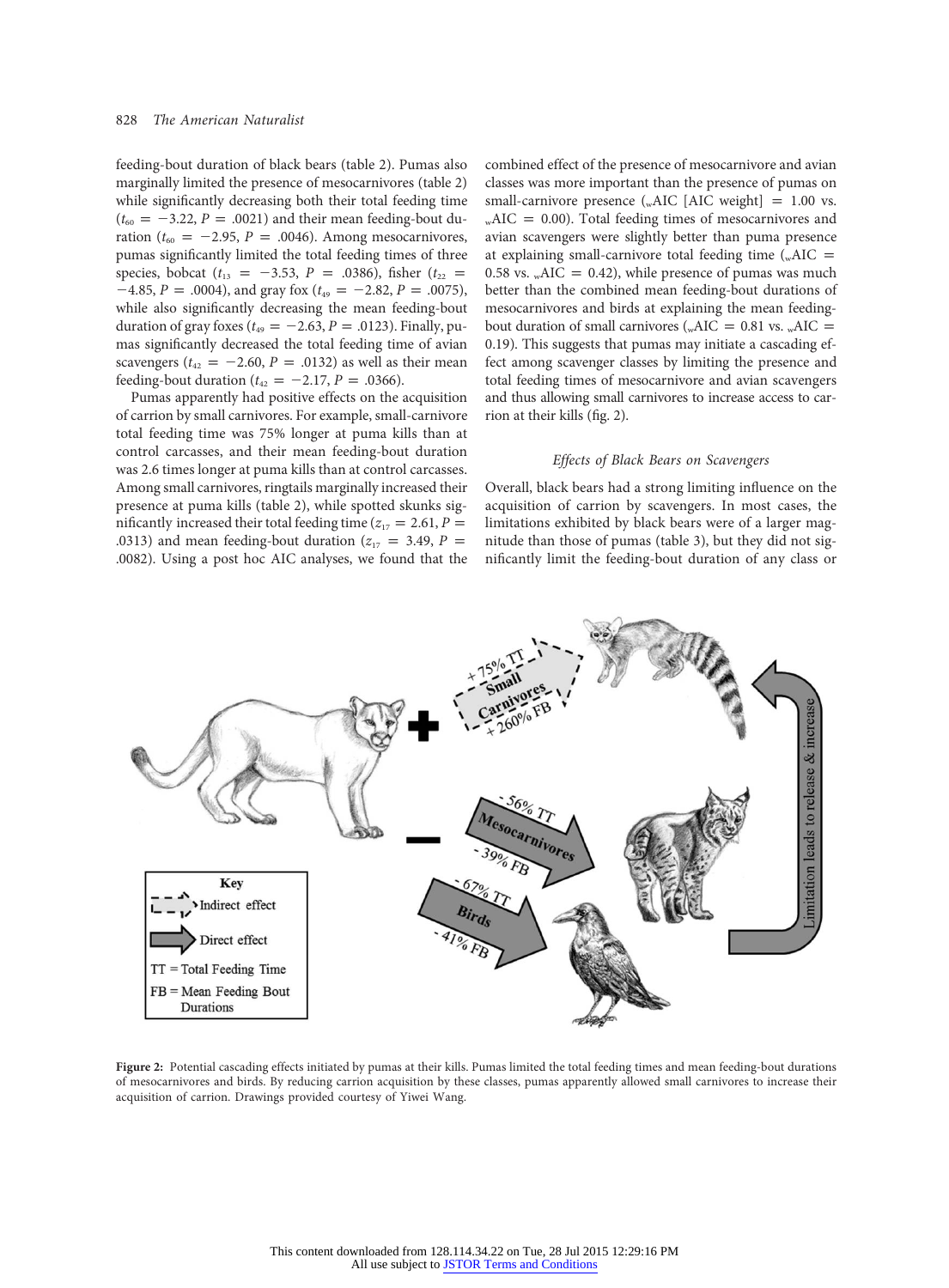feeding-bout duration of black bears (table 2). Pumas also marginally limited the presence of mesocarnivores (table 2) while significantly decreasing both their total feeding time  $(t_{60} = -3.22, P = .0021)$  and their mean feeding-bout duration ( $t_{60} = -2.95$ ,  $P = .0046$ ). Among mesocarnivores, pumas significantly limited the total feeding times of three species, bobcat ( $t_{13} = -3.53$ ,  $P = .0386$ ), fisher ( $t_{22} =$  $-4.85$ ,  $P = .0004$ ), and gray fox ( $t_{49} = -2.82$ ,  $P = .0075$ ), while also significantly decreasing the mean feeding-bout duration of gray foxes ( $t_{49} = -2.63$ ,  $P = .0123$ ). Finally, pumas significantly decreased the total feeding time of avian scavengers ( $t_{42} = -2.60$ ,  $P = .0132$ ) as well as their mean feeding-bout duration ( $t_{42} = -2.17$ ,  $P = .0366$ ).

Pumas apparently had positive effects on the acquisition of carrion by small carnivores. For example, small-carnivore total feeding time was 75% longer at puma kills than at control carcasses, and their mean feeding-bout duration was 2.6 times longer at puma kills than at control carcasses. Among small carnivores, ringtails marginally increased their presence at puma kills (table 2), while spotted skunks significantly increased their total feeding time ( $z_{17} = 2.61$ ,  $P =$ .0313) and mean feeding-bout duration ( $z_{17} = 3.49$ ,  $P =$ .0082). Using a post hoc AIC analyses, we found that the combined effect of the presence of mesocarnivore and avian classes was more important than the presence of pumas on small-carnivore presence  $\left( \text{wAIC} \right]$  [AIC weight] = 1.00 vs.  $_{\text{w}}$ AIC = 0.00). Total feeding times of mesocarnivores and avian scavengers were slightly better than puma presence at explaining small-carnivore total feeding time  $\left( _{w}ALC =$ 0.58 vs.  $_{\text{w}}$ AIC = 0.42), while presence of pumas was much better than the combined mean feeding-bout durations of mesocarnivores and birds at explaining the mean feedingbout duration of small carnivores (wAIC =  $0.81$  vs. wAIC = 0.19). This suggests that pumas may initiate a cascading effect among scavenger classes by limiting the presence and total feeding times of mesocarnivore and avian scavengers and thus allowing small carnivores to increase access to carrion at their kills (fig. 2).

## Effects of Black Bears on Scavengers

Overall, black bears had a strong limiting influence on the acquisition of carrion by scavengers. In most cases, the limitations exhibited by black bears were of a larger magnitude than those of pumas (table 3), but they did not significantly limit the feeding-bout duration of any class or



Figure 2: Potential cascading effects initiated by pumas at their kills. Pumas limited the total feeding times and mean feeding-bout durations of mesocarnivores and birds. By reducing carrion acquisition by these classes, pumas apparently allowed small carnivores to increase their acquisition of carrion. Drawings provided courtesy of Yiwei Wang.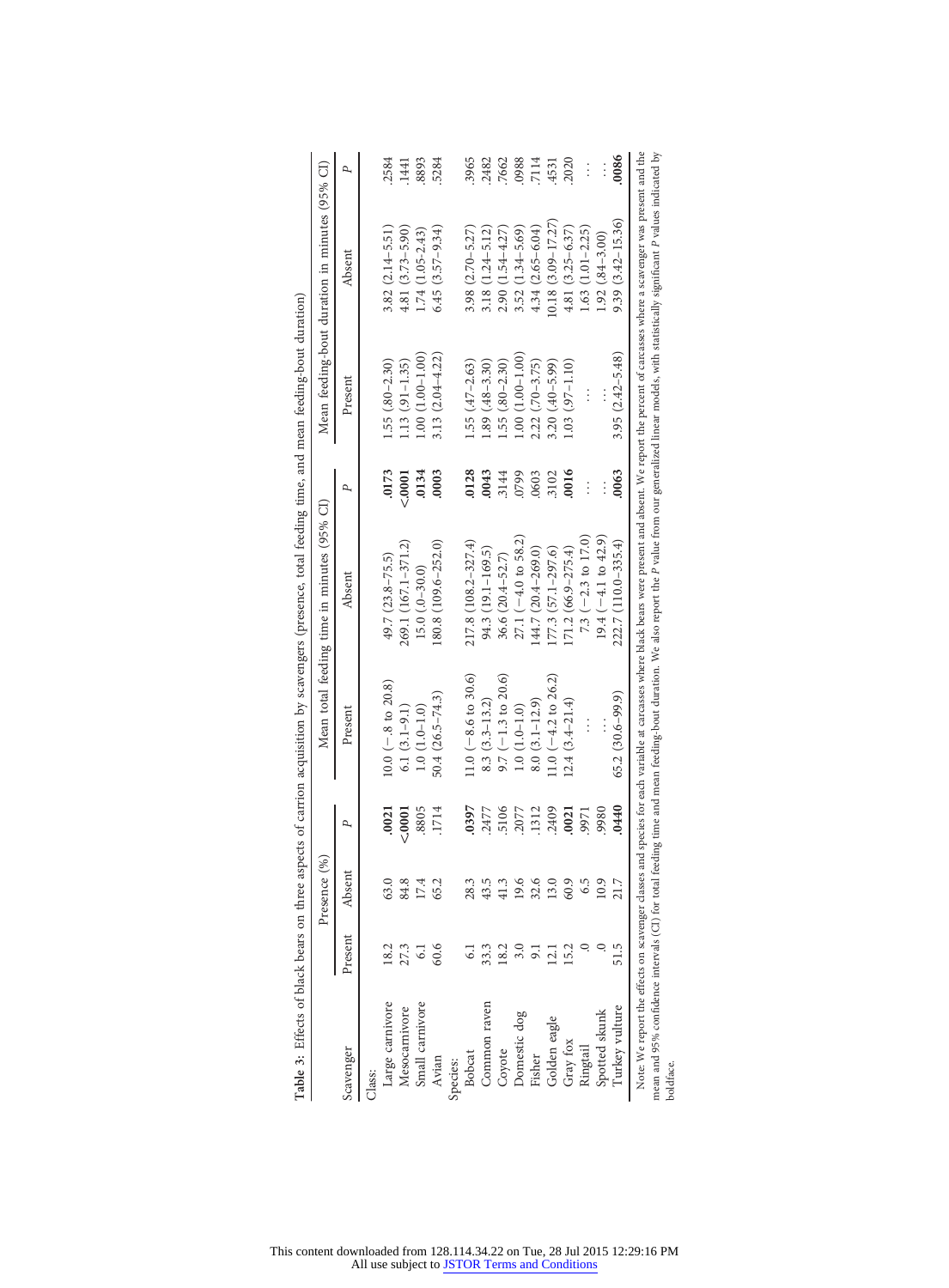|                 |                 | Presence (%) |                       |                        | Mean total feeding time in minutes (95% CI)                                                                                                                                                                                                                                                                                                                                                                                          |        |                     | Mean feeding-bout duration in minutes (95% CI) |          |
|-----------------|-----------------|--------------|-----------------------|------------------------|--------------------------------------------------------------------------------------------------------------------------------------------------------------------------------------------------------------------------------------------------------------------------------------------------------------------------------------------------------------------------------------------------------------------------------------|--------|---------------------|------------------------------------------------|----------|
| Scavenger       | Present         | Absent       | P                     | Present                | Absent                                                                                                                                                                                                                                                                                                                                                                                                                               | P,     | Present             | Absent                                         | P        |
| Class:          |                 |              |                       |                        |                                                                                                                                                                                                                                                                                                                                                                                                                                      |        |                     |                                                |          |
| Large carnivore | 18.2            | 63.0         | .0021                 | $10.0 (-.8 to 20.8)$   | 49.7 (23.8-75.5)                                                                                                                                                                                                                                                                                                                                                                                                                     | .0173  | $1.55(.80-2.30)$    | $3.82(2.14 - 5.51)$                            | 2584     |
| Mesocarnivore   | 27.3            | 84.8         | < .0001               | $6.1(3.1-9.1)$         | 269.1 (167.1–371.2)                                                                                                                                                                                                                                                                                                                                                                                                                  | < 0001 | $1.13(91 - 1.35)$   | $4.81(3.73 - 5.90)$                            | 1441     |
| Small carnivore | $\overline{61}$ | 17.4         | .8805                 | $1.0(1.0-1.0)$         | $15.0$ $(.0-30.0)$                                                                                                                                                                                                                                                                                                                                                                                                                   | .0134  | $1.00(1.00-1.00)$   | 1.74 (1.05-2.43)                               | 8893     |
| Avian           | 60.6            | 65.2         | 4<br>.171             | $50.4(26.5 - 74.3)$    | 180.8 (109.6-252.0)                                                                                                                                                                                                                                                                                                                                                                                                                  | .0003  | $3.13(2.04 - 4.22)$ | $6.45(3.57-9.34)$                              | 5284     |
| Species:        |                 |              |                       |                        |                                                                                                                                                                                                                                                                                                                                                                                                                                      |        |                     |                                                |          |
| Bobcat          |                 | 28.3         | .0397                 | $11.0 (-8.6 to 30.6)$  | 217.8 (108.2-327.4)                                                                                                                                                                                                                                                                                                                                                                                                                  | 0128   | $1.55(.47 - 2.63)$  | $3.98(2.70 - 5.27)$                            | 3965     |
| Common raven    |                 | 43.5         | .2477                 | $8.3(3.3-13.2)$        | 94.3 (19.1–169.5)                                                                                                                                                                                                                                                                                                                                                                                                                    | 0043   | $1.89(.48-3.30)$    | $3.18(1.24 - 5.12)$                            | 2482     |
| Coyote          | 18.2            | 41.3         | .5106                 | $9.7 (-1.3 to 20.6)$   | $36.6$ $(20.4 - 52.7)$                                                                                                                                                                                                                                                                                                                                                                                                               | 3144   | $1.55(.80 - 2.30)$  | $2.90(1.54 - 4.27)$                            | 7662     |
| Domestic dog    |                 | 19.6         | .2077                 | $1.0(1.0-1.0)$         | $27.1 (-4.0 to 58.2)$                                                                                                                                                                                                                                                                                                                                                                                                                | 0799   | $1.00(1.00-1.00)$   | $3.52(1.34 - 5.69)$                            | 0988     |
| Fisher          |                 | 32.6         | .1312                 | $8.0(3.1 - 12.9)$      | $(44.7 (20.4 - 269.0))$                                                                                                                                                                                                                                                                                                                                                                                                              | .0603  | $2.22(.70 - 3.75)$  | $4.34(2.65 - 6.04)$                            | 7114     |
| Golden eagle    | $\Xi$           | 13.0         | .2409                 | 11.0 $(-4.2$ to 26.2)  | $[77.3 (57.1 - 297.6)]$                                                                                                                                                                                                                                                                                                                                                                                                              | 3102   | $3.20(.40 - 5.99)$  | $10.18(3.09 - 17.27)$                          | 4531     |
| Gray fox        | 15.2            | 60.9         | .0021                 | $12.4(3.4 - 21.4)$     | $171.2(66.9 - 275.4)$                                                                                                                                                                                                                                                                                                                                                                                                                | 0016   | $1.03(97-1.10)$     | $4.81(3.25-6.37)$                              | 2020     |
| Ringtail        |                 | 6.5          | .9971                 |                        | 7.3 $(-2.3 \text{ to } 17.0)$                                                                                                                                                                                                                                                                                                                                                                                                        |        |                     | $1.63(1.01 - 2.25)$                            | $\vdots$ |
| Spotted skunk   |                 | 10.9         | .9980                 |                        | 19.4 $(-4.1$ to $42.9)$                                                                                                                                                                                                                                                                                                                                                                                                              |        |                     | $1.92(0.84 - 3.00)$                            |          |
| Turkey vulture  | 51.5            |              | $\overline{40}$<br>Ì, | $(65.2 (30.6 - 99.9))$ | 222.7 (110.0-335.4)                                                                                                                                                                                                                                                                                                                                                                                                                  | .0063  | $3.95(2.42 - 5.48)$ | $9.39(3.42 - 15.36)$                           | .0086    |
| boldface.       |                 |              |                       |                        | Note: We report the effects on scavenger classes and species for each variable at carcasses where black bears were present and absent. We report the percent of carcasses where a scavenger was present and the<br>mean and 95% confidence intervals (CI) for total feeding time and mean feeding-bout duration. We also report the P value from our generalized linear models, with statistically significant P values indicated by |        |                     |                                                |          |

Table 3: Effects of black bears on three aspects of carrion acquisition by scavengers (presence, total feeding time, and mean feeding-bout duration) Table 3: Effects of black bears on three aspects of carrion acquisition by scavengers (presence, total feeding time, and mean feeding-bout duration)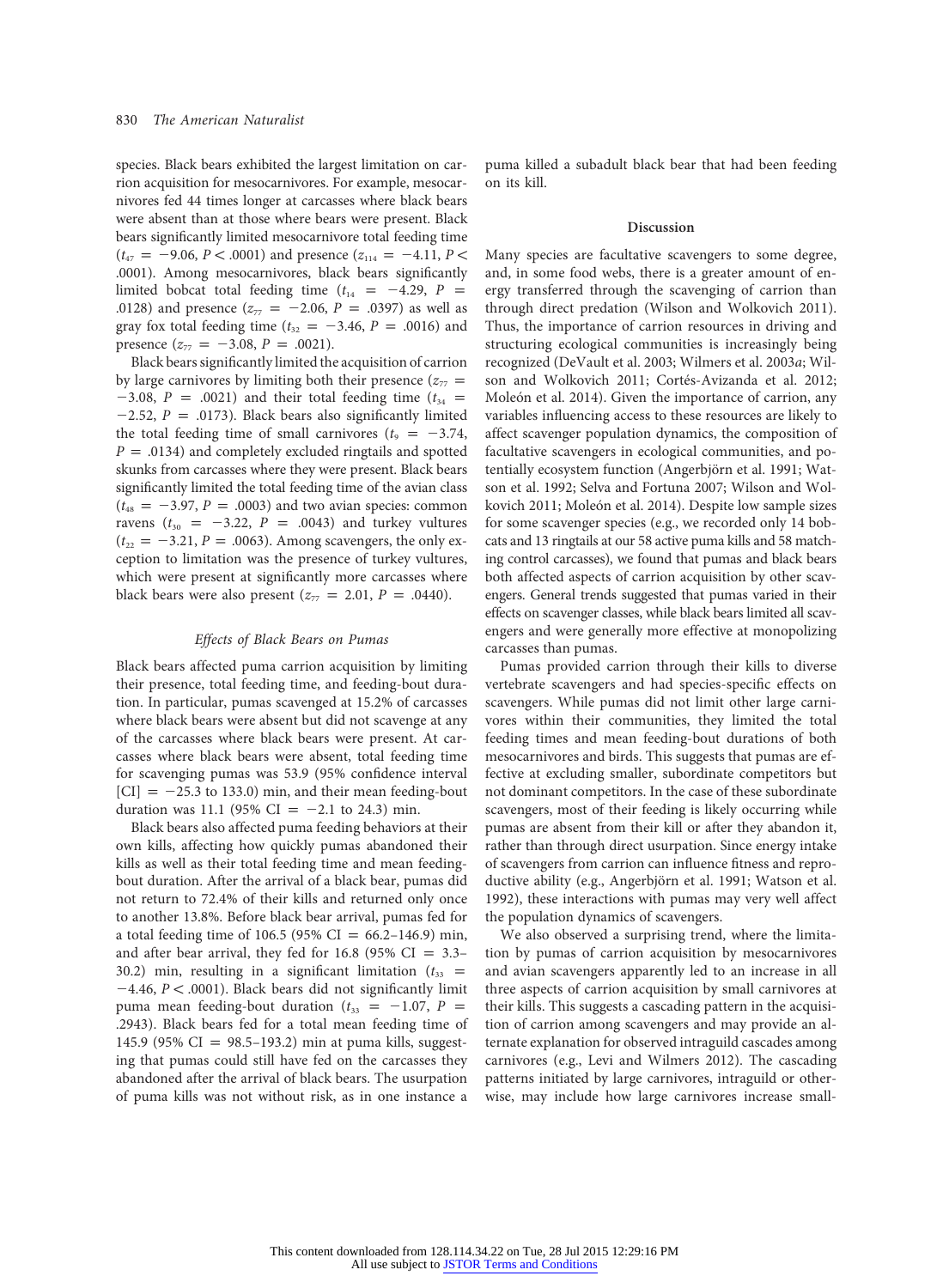species. Black bears exhibited the largest limitation on carrion acquisition for mesocarnivores. For example, mesocarnivores fed 44 times longer at carcasses where black bears were absent than at those where bears were present. Black bears significantly limited mesocarnivore total feeding time  $(t_{47} = -9.06, P < .0001)$  and presence  $(z_{114} = -4.11, P <$ .0001). Among mesocarnivores, black bears significantly limited bobcat total feeding time  $(t_{14} = -4.29, P)$ .0128) and presence ( $z_{77} = -2.06$ ,  $P = .0397$ ) as well as gray fox total feeding time ( $t_{32} = -3.46$ ,  $P = .0016$ ) and presence  $(z_{77} = -3.08, P = .0021)$ .

Black bears significantly limited the acquisition of carrion by large carnivores by limiting both their presence ( $z_{77}$  =  $-3.08$ ,  $P = .0021$ ) and their total feeding time ( $t_{34}$  =  $-2.52$ ,  $P = .0173$ ). Black bears also significantly limited the total feeding time of small carnivores ( $t_9 = -3.74$ ,  $P = .0134$ ) and completely excluded ringtails and spotted skunks from carcasses where they were present. Black bears significantly limited the total feeding time of the avian class  $(t_{48} = -3.97, P = .0003)$  and two avian species: common ravens ( $t_{30}$  = -3.22, P = .0043) and turkey vultures  $(t_{22} = -3.21, P = .0063)$ . Among scavengers, the only exception to limitation was the presence of turkey vultures, which were present at significantly more carcasses where black bears were also present  $(z_{77} = 2.01, P = .0440)$ .

#### Effects of Black Bears on Pumas

Black bears affected puma carrion acquisition by limiting their presence, total feeding time, and feeding-bout duration. In particular, pumas scavenged at 15.2% of carcasses where black bears were absent but did not scavenge at any of the carcasses where black bears were present. At carcasses where black bears were absent, total feeding time for scavenging pumas was 53.9 (95% confidence interval  $|CI| = -25.3$  to 133.0) min, and their mean feeding-bout duration was 11.1 (95% CI =  $-2.1$  to 24.3) min.

Black bears also affected puma feeding behaviors at their own kills, affecting how quickly pumas abandoned their kills as well as their total feeding time and mean feedingbout duration. After the arrival of a black bear, pumas did not return to 72.4% of their kills and returned only once to another 13.8%. Before black bear arrival, pumas fed for a total feeding time of 106.5 (95% CI = 66.2–146.9) min, and after bear arrival, they fed for  $16.8$  (95% CI = 3.3– 30.2) min, resulting in a significant limitation  $(t_{33}$  =  $-4.46$ ,  $P < .0001$ ). Black bears did not significantly limit puma mean feeding-bout duration ( $t_{33}$  = -1.07, P = .2943). Black bears fed for a total mean feeding time of 145.9 (95% CI = 98.5–193.2) min at puma kills, suggesting that pumas could still have fed on the carcasses they abandoned after the arrival of black bears. The usurpation of puma kills was not without risk, as in one instance a puma killed a subadult black bear that had been feeding on its kill.

#### Discussion

Many species are facultative scavengers to some degree, and, in some food webs, there is a greater amount of energy transferred through the scavenging of carrion than through direct predation (Wilson and Wolkovich 2011). Thus, the importance of carrion resources in driving and structuring ecological communities is increasingly being recognized (DeVault et al. 2003; Wilmers et al. 2003a; Wilson and Wolkovich 2011; Cortés-Avizanda et al. 2012; Moleón et al. 2014). Given the importance of carrion, any variables influencing access to these resources are likely to affect scavenger population dynamics, the composition of facultative scavengers in ecological communities, and potentially ecosystem function (Angerbjörn et al. 1991; Watson et al. 1992; Selva and Fortuna 2007; Wilson and Wolkovich 2011; Moleón et al. 2014). Despite low sample sizes for some scavenger species (e.g., we recorded only 14 bobcats and 13 ringtails at our 58 active puma kills and 58 matching control carcasses), we found that pumas and black bears both affected aspects of carrion acquisition by other scavengers. General trends suggested that pumas varied in their effects on scavenger classes, while black bears limited all scavengers and were generally more effective at monopolizing carcasses than pumas.

Pumas provided carrion through their kills to diverse vertebrate scavengers and had species-specific effects on scavengers. While pumas did not limit other large carnivores within their communities, they limited the total feeding times and mean feeding-bout durations of both mesocarnivores and birds. This suggests that pumas are effective at excluding smaller, subordinate competitors but not dominant competitors. In the case of these subordinate scavengers, most of their feeding is likely occurring while pumas are absent from their kill or after they abandon it, rather than through direct usurpation. Since energy intake of scavengers from carrion can influence fitness and reproductive ability (e.g., Angerbjörn et al. 1991; Watson et al. 1992), these interactions with pumas may very well affect the population dynamics of scavengers.

We also observed a surprising trend, where the limitation by pumas of carrion acquisition by mesocarnivores and avian scavengers apparently led to an increase in all three aspects of carrion acquisition by small carnivores at their kills. This suggests a cascading pattern in the acquisition of carrion among scavengers and may provide an alternate explanation for observed intraguild cascades among carnivores (e.g., Levi and Wilmers 2012). The cascading patterns initiated by large carnivores, intraguild or otherwise, may include how large carnivores increase small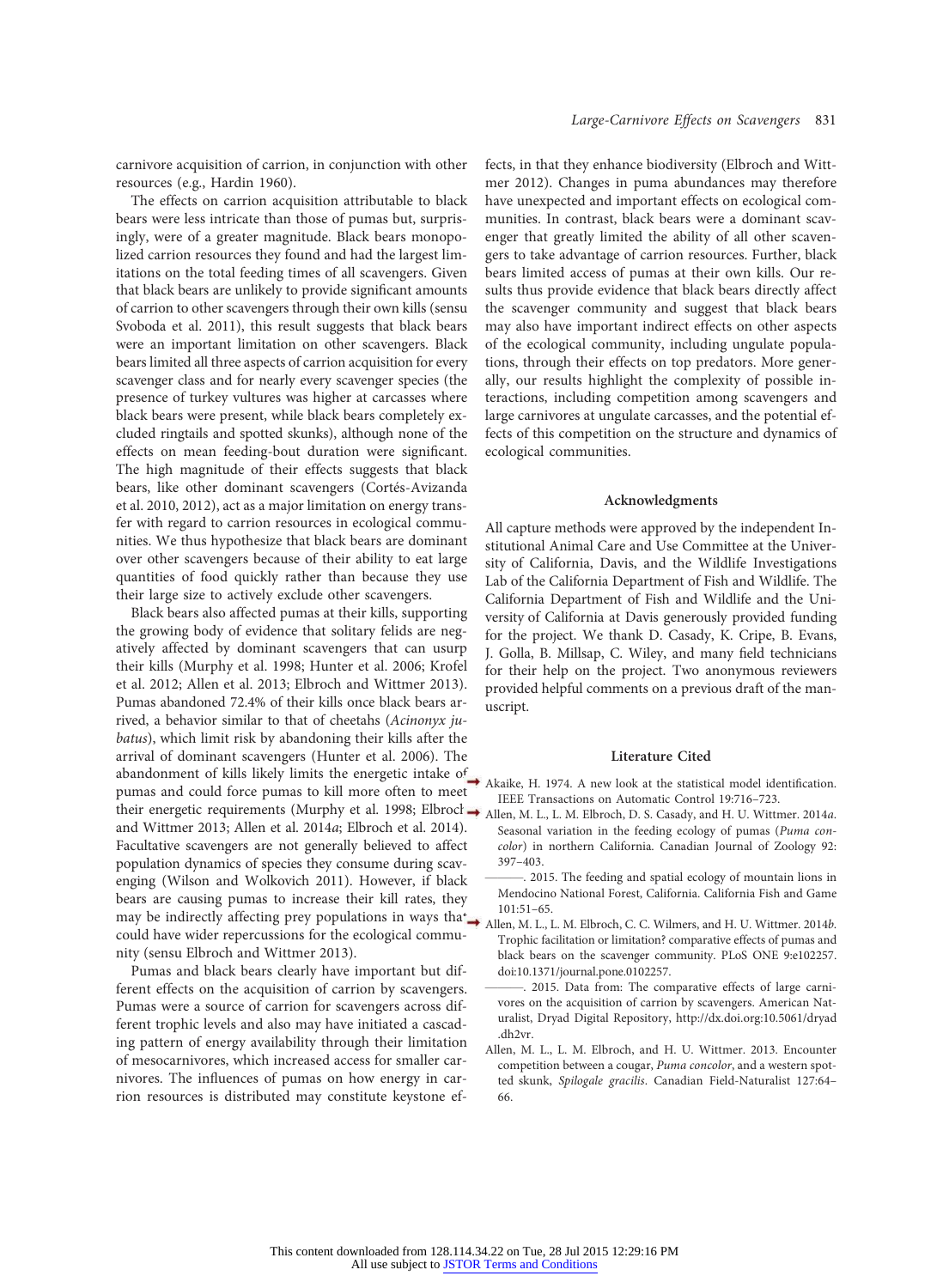carnivore acquisition of carrion, in conjunction with other resources (e.g., Hardin 1960).

The effects on carrion acquisition attributable to black bears were less intricate than those of pumas but, surprisingly, were of a greater magnitude. Black bears monopolized carrion resources they found and had the largest limitations on the total feeding times of all scavengers. Given that black bears are unlikely to provide significant amounts of carrion to other scavengers through their own kills (sensu Svoboda et al. 2011), this result suggests that black bears were an important limitation on other scavengers. Black bears limited all three aspects of carrion acquisition for every scavenger class and for nearly every scavenger species (the presence of turkey vultures was higher at carcasses where black bears were present, while black bears completely excluded ringtails and spotted skunks), although none of the effects on mean feeding-bout duration were significant. The high magnitude of their effects suggests that black bears, like other dominant scavengers (Cortés-Avizanda et al. 2010, 2012), act as a major limitation on energy transfer with regard to carrion resources in ecological communities. We thus hypothesize that black bears are dominant over other scavengers because of their ability to eat large quantities of food quickly rather than because they use their large size to actively exclude other scavengers.

Black bears also affected pumas at their kills, supporting the growing body of evidence that solitary felids are negatively affected by dominant scavengers that can usurp their kills (Murphy et al. 1998; Hunter et al. 2006; Krofel et al. 2012; Allen et al. 2013; Elbroch and Wittmer 2013). Pumas abandoned 72.4% of their kills once black bears arrived, a behavior similar to that of cheetahs (Acinonyx jubatus), which limit risk by abandoning their kills after the arrival of dominant scavengers (Hunter et al. 2006). The abandonment of kills likely limits the energetic intake of  $\rightarrow$ pumas and could force pumas to kill more often to meet their energetic requirements (Murphy et al. 1998; Elbrocl → Allen, M. L., L. M. Elbroch, D. S. Casady, and H. U. Wittmer. 2014a. and Wittmer 2013; Allen et al. 2014a; Elbroch et al. 2014). Facultative scavengers are not generally believed to affect population dynamics of species they consume during scavenging (Wilson and Wolkovich 2011). However, if black bears are causing pumas to increase their kill rates, they may be indirectly affecting prey populations in ways that could have wider repercussions for the ecological community (sensu Elbroch and Wittmer 2013).

Pumas and black bears clearly have important but different effects on the acquisition of carrion by scavengers. Pumas were a source of carrion for scavengers across different trophic levels and also may have initiated a cascading pattern of energy availability through their limitation of mesocarnivores, which increased access for smaller carnivores. The influences of pumas on how energy in carrion resources is distributed may constitute keystone effects, in that they enhance biodiversity (Elbroch and Wittmer 2012). Changes in puma abundances may therefore have unexpected and important effects on ecological communities. In contrast, black bears were a dominant scavenger that greatly limited the ability of all other scavengers to take advantage of carrion resources. Further, black bears limited access of pumas at their own kills. Our results thus provide evidence that black bears directly affect the scavenger community and suggest that black bears may also have important indirect effects on other aspects of the ecological community, including ungulate populations, through their effects on top predators. More generally, our results highlight the complexity of possible interactions, including competition among scavengers and large carnivores at ungulate carcasses, and the potential effects of this competition on the structure and dynamics of ecological communities.

#### Acknowledgments

All capture methods were approved by the independent Institutional Animal Care and Use Committee at the University of California, Davis, and the Wildlife Investigations Lab of the California Department of Fish and Wildlife. The California Department of Fish and Wildlife and the University of California at Davis generously provided funding for the project. We thank D. Casady, K. Cripe, B. Evans, J. Golla, B. Millsap, C. Wiley, and many field technicians for their help on the project. Two anonymous reviewers provided helpful comments on a previous draft of the manuscript.

#### Literature Cited

- Akaike, H. 1974. A new look at the statistical model identification. IEEE Transactions on Automatic Control 19:716–723.
- Seasonal variation in the feeding ecology of pumas (Puma concolor) in northern California. Canadian Journal of Zoology 92: 397–403.
- 2015. The feeding and spatial ecology of mountain lions in Mendocino National Forest, California. California Fish and Game 101:51–65.
- Allen, M. L., L. M. Elbroch, C. C. Wilmers, and H. U. Wittmer. 2014b. Trophic facilitation or limitation? comparative effects of pumas and black bears on the scavenger community. PLoS ONE 9:e102257. doi:10.1371/journal.pone.0102257.
- 2015. Data from: The comparative effects of large carnivores on the acquisition of carrion by scavengers. American Naturalist, Dryad Digital Repository, http://dx.doi.org:10.5061/dryad .dh2vr.
- Allen, M. L., L. M. Elbroch, and H. U. Wittmer. 2013. Encounter competition between a cougar, Puma concolor, and a western spotted skunk, Spilogale gracilis. Canadian Field-Naturalist 127:64– 66.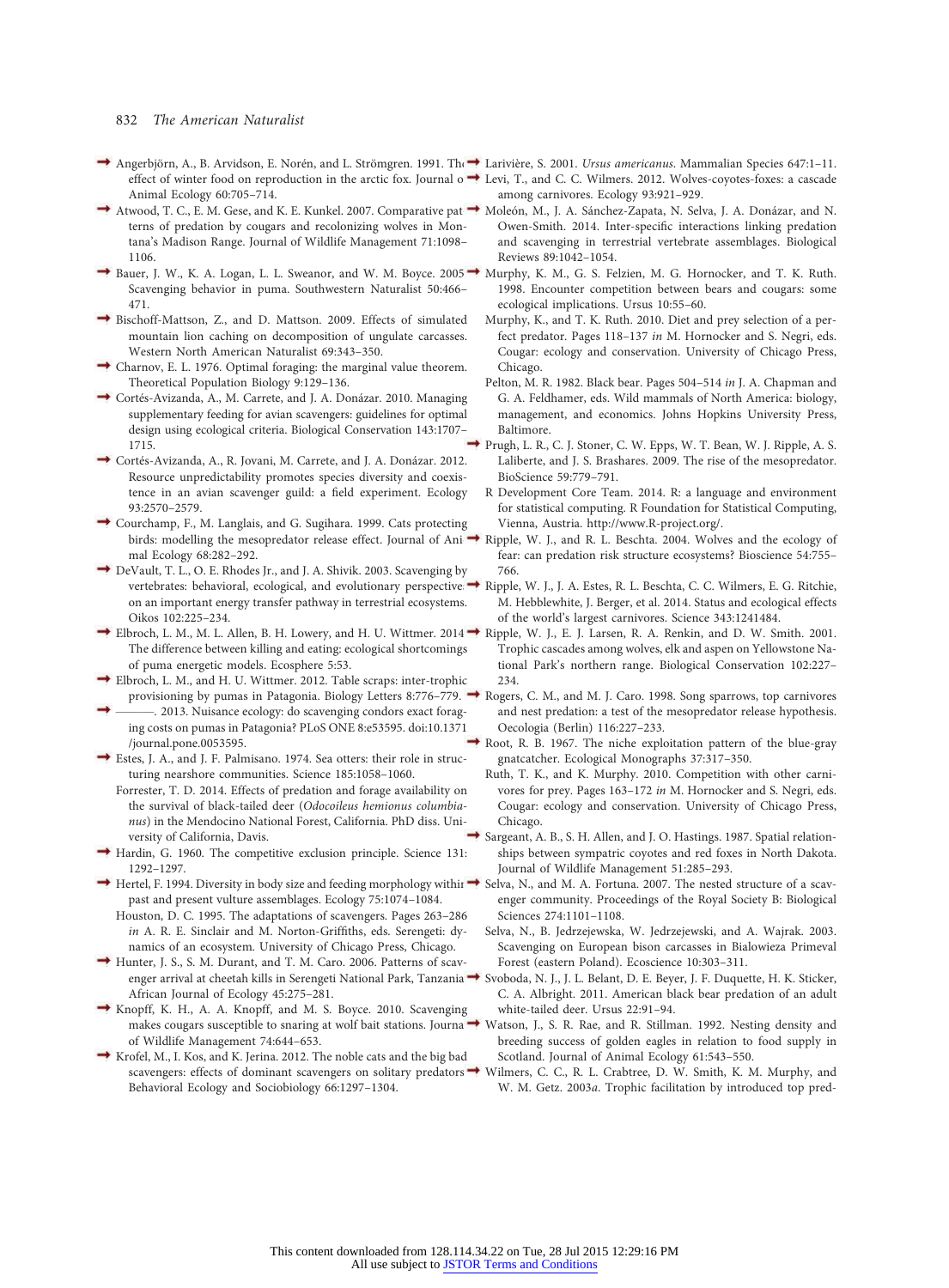#### 832 The American Naturalist

- Angerbjörn, A., B. Arvidson, E. Norén, and L. Strömgren. 1991. The Larivière, S. 2001. Ursus americanus. Mammalian Species 647:1–11. Animal Ecology 60:705–714.
- terns of predation by cougars and recolonizing wolves in Montana's Madison Range. Journal of Wildlife Management 71:1098– 1106.
- Bauer, J. W., K. A. Logan, L. L. Sweanor, and W. M. Boyce. 2005. Scavenging behavior in puma. Southwestern Naturalist 50:466– 471.
- Bischoff-Mattson, Z., and D. Mattson. 2009. Effects of simulated mountain lion caching on decomposition of ungulate carcasses. Western North American Naturalist 69:343–350.
- Charnov, E. L. 1976. Optimal foraging: the marginal value theorem. Theoretical Population Biology 9:129–136.
- Cortés-Avizanda, A., M. Carrete, and J. A. Donázar. 2010. Managing supplementary feeding for avian scavengers: guidelines for optimal design using ecological criteria. Biological Conservation 143:1707– 1715.
- Cortés-Avizanda, A., R. Jovani, M. Carrete, and J. A. Donázar. 2012. Resource unpredictability promotes species diversity and coexistence in an avian scavenger guild: a field experiment. Ecology 93:2570–2579.
- Courchamp, F., M. Langlais, and G. Sugihara. 1999. Cats protecting mal Ecology 68:282–292.
- DeVault, T. L., O. E. Rhodes Jr., and J. A. Shivik. 2003. Scavenging by vertebrates: behavioral, ecological, and evolutionary perspectives on an important energy transfer pathway in terrestrial ecosystems. Oikos 102:225–234.
- $\rightarrow$  Elbroch, L. M., M. L. Allen, B. H. Lowery, and H. U. Wittmer. 2014. The difference between killing and eating: ecological shortcomings of puma energetic models. Ecosphere 5:53.
- Elbroch, L. M., and H. U. Wittmer. 2012. Table scraps: inter-trophic provisioning by pumas in Patagonia. Biology Letters 8:776–779.
- 2013. Nuisance ecology: do scavenging condors exact foraging costs on pumas in Patagonia? PLoS ONE 8:e53595. doi:10.1371 /journal.pone.0053595.
- Estes, J. A., and J. F. Palmisano. 1974. Sea otters: their role in structuring nearshore communities. Science 185:1058–1060.
- Forrester, T. D. 2014. Effects of predation and forage availability on the survival of black-tailed deer (Odocoileus hemionus columbianus) in the Mendocino National Forest, California. PhD diss. University of California, Davis.
- Hardin, G. 1960. The competitive exclusion principle. Science 131: 1292–1297.
- Hertel, F. 1994. Diversity in body size and feeding morphology withir → Selva, N., and M. A. Fortuna. 2007. The nested structure of a scavpast and present vulture assemblages. Ecology 75:1074–1084.
	- Houston, D. C. 1995. The adaptations of scavengers. Pages 263–286 in A. R. E. Sinclair and M. Norton-Griffiths, eds. Serengeti: dynamics of an ecosystem. University of Chicago Press, Chicago.
- Hunter, J. S., S. M. Durant, and T. M. Caro. 2006. Patterns of scavenger arrival at cheetah kills in Serengeti National Park, Tanzania<sup>+</sup> African Journal of Ecology 45:275–281.
- Knopff, K. H., A. A. Knopff, and M. S. Boyce. 2010. Scavenging makes cougars susceptible to snaring at wolf bait stations. Journa of Wildlife Management 74:644–653.
- Krofel, M., I. Kos, and K. Jerina. 2012. The noble cats and the big bad scavengers: effects of dominant scavengers on solitary predators  $\rightarrow$ Behavioral Ecology and Sociobiology 66:1297–1304.
- 
- effect of winter food on reproduction in the arctic fox. Journal o  $\rightarrow$  Levi, T., and C. C. Wilmers. 2012. Wolves-coyotes-foxes: a cascade among carnivores. Ecology 93:921–929.
- Atwood, T. C., E. M. Gese, and K. E. Kunkel. 2007. Comparative pat → Moleón, M., J. A. Sánchez-Zapata, N. Selva, J. A. Donázar, and N. Owen-Smith. 2014. Inter-specific interactions linking predation and scavenging in terrestrial vertebrate assemblages. Biological Reviews 89:1042–1054.
	- Murphy, K. M., G. S. Felzien, M. G. Hornocker, and T. K. Ruth. 1998. Encounter competition between bears and cougars: some ecological implications. Ursus 10:55–60.
	- Murphy, K., and T. K. Ruth. 2010. Diet and prey selection of a perfect predator. Pages 118–137 in M. Hornocker and S. Negri, eds. Cougar: ecology and conservation. University of Chicago Press, Chicago.
	- Pelton, M. R. 1982. Black bear. Pages 504–514 in J. A. Chapman and G. A. Feldhamer, eds. Wild mammals of North America: biology, management, and economics. Johns Hopkins University Press, Baltimore.
	- Prugh, L. R., C. J. Stoner, C. W. Epps, W. T. Bean, W. J. Ripple, A. S. Laliberte, and J. S. Brashares. 2009. The rise of the mesopredator. BioScience 59:779–791.
	- R Development Core Team. 2014. R: a language and environment for statistical computing. R Foundation for Statistical Computing, Vienna, Austria. http://www.R-project.org/.
	- birds: modelling the mesopredator release effect. Journal of Ani-Ripple, W. J., and R. L. Beschta. 2004. Wolves and the ecology of fear: can predation risk structure ecosystems? Bioscience 54:755– 766.
		- Ripple, W. J., J. A. Estes, R. L. Beschta, C. C. Wilmers, E. G. Ritchie, M. Hebblewhite, J. Berger, et al. 2014. Status and ecological effects of the world's largest carnivores. Science 343:1241484.
		- Ripple, W. J., E. J. Larsen, R. A. Renkin, and D. W. Smith. 2001. Trophic cascades among wolves, elk and aspen on Yellowstone National Park's northern range. Biological Conservation 102:227– 234.
		- Rogers, C. M., and M. J. Caro. 1998. Song sparrows, top carnivores and nest predation: a test of the mesopredator release hypothesis. Oecologia (Berlin) 116:227–233.
		- Root, R. B. 1967. The niche exploitation pattern of the blue-gray gnatcatcher. Ecological Monographs 37:317–350.
		- Ruth, T. K., and K. Murphy. 2010. Competition with other carnivores for prey. Pages 163–172 in M. Hornocker and S. Negri, eds. Cougar: ecology and conservation. University of Chicago Press, Chicago.
		- Sargeant, A. B., S. H. Allen, and J. O. Hastings. 1987. Spatial relationships between sympatric coyotes and red foxes in North Dakota. Journal of Wildlife Management 51:285–293.
		- enger community. Proceedings of the Royal Society B: Biological Sciences 274:1101–1108.
		- Selva, N., B. Jedrzejewska, W. Jedrzejewski, and A. Wajrak. 2003. Scavenging on European bison carcasses in Bialowieza Primeval Forest (eastern Poland). Ecoscience 10:303–311.
		- Svoboda, N. J., J. L. Belant, D. E. Beyer, J. F. Duquette, H. K. Sticker, C. A. Albright. 2011. American black bear predation of an adult white-tailed deer. Ursus 22:91–94.
		- Watson, J., S. R. Rae, and R. Stillman. 1992. Nesting density and breeding success of golden eagles in relation to food supply in Scotland. Journal of Animal Ecology 61:543–550.
		- Wilmers, C. C., R. L. Crabtree, D. W. Smith, K. M. Murphy, and W. M. Getz. 2003a. Trophic facilitation by introduced top pred-